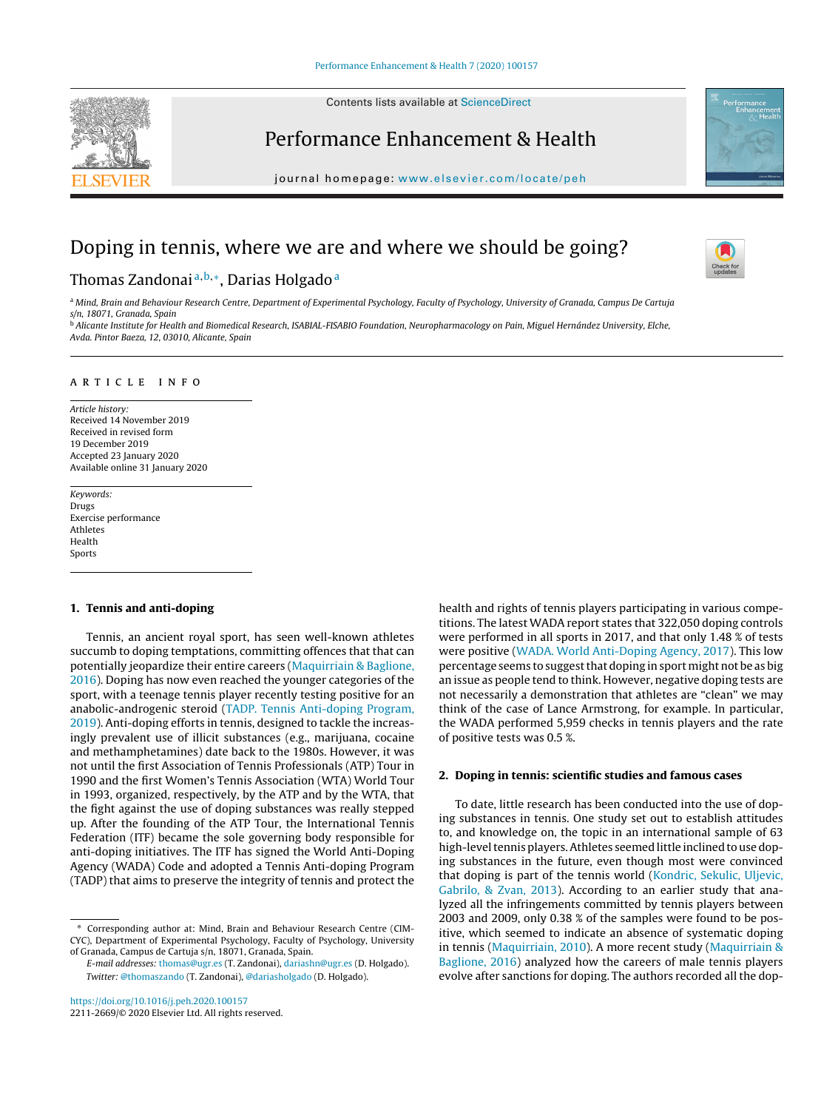Contents lists available at [ScienceDirect](http://www.sciencedirect.com/science/journal/00000000)

# Performance Enhancement & Health

journal homepage: [www.elsevier.com/locate/peh](http://www.elsevier.com/locate/peh)

## Doping in tennis, where we are and where we should be going?

### Thomas Zandonai<sup>a, b,∗</sup>, Darias Holgado<sup>a</sup>

a Mind, Brain and Behaviour Research Centre, Department of Experimental Psychology, Faculty of Psychology, University of Granada, Campus De Cartuja s/n, 18071, Granada, Spain <sup>b</sup> Alicante Institute for Health and Biomedical Research, ISABIAL-FISABIO Foundation, Neuropharmacology on Pain, Miguel Hernández University, Elche,

Avda. Pintor Baeza, 12, 03010, Alicante, Spain

#### a r t i c l e i n f o

Article history: Received 14 November 2019 Received in revised form 19 December 2019 Accepted 23 January 2020 Available online 31 January 2020

Keywords: Drugs Exercise performance Athletes Health Sports

#### **1. Tennis and anti-doping**

Tennis, an ancient royal sport, has seen well-known athletes succumb to doping temptations, committing offences that that can potentially jeopardize their entire careers ([Maquirriain](#page-1-0) [&](#page-1-0) [Baglione,](#page-1-0) [2016\).](#page-1-0) Doping has now even reached the younger categories of the sport, with a teenage tennis player recently testing positive for an anabolic-androgenic steroid ([TADP.](#page-1-0) [Tennis](#page-1-0) [Anti-doping](#page-1-0) [Program,](#page-1-0) [2019\).](#page-1-0) Anti-doping efforts in tennis, designed to tackle the increasingly prevalent use of illicit substances (e.g., marijuana, cocaine and methamphetamines) date back to the 1980s. However, it was not until the first Association of Tennis Professionals (ATP) Tour in 1990 and the first Women's Tennis Association (WTA) World Tour in 1993, organized, respectively, by the ATP and by the WTA, that the fight against the use of doping substances was really stepped up. After the founding of the ATP Tour, the International Tennis Federation (ITF) became the sole governing body responsible for anti-doping initiatives. The ITF has signed the World Anti-Doping Agency (WADA) Code and adopted a Tennis Anti-doping Program (TADP) that aims to preserve the integrity of tennis and protect the

∗ Corresponding author at: Mind, Brain and Behaviour Research Centre (CIM-CYC), Department of Experimental Psychology, Faculty of Psychology, University of Granada, Campus de Cartuja s/n, 18071, Granada, Spain.

E-mail addresses: [thomas@ugr.es](mailto:thomas@ugr.es) (T. Zandonai), [dariashn@ugr.es](mailto:dariashn@ugr.es) (D. Holgado). Twitter: [@thomaszando](https://twitter.com/thomaszando) (T. Zandonai), [@dariasholgado](https://twitter.com/dariasholgado) (D. Holgado).

<https://doi.org/10.1016/j.peh.2020.100157>

2211-2669/© 2020 Elsevier Ltd. All rights reserved.

health and rights of tennis players participating in various competitions. The latest WADA report states that 322,050 doping controls were performed in all sports in 2017, and that only 1.48 % of tests were positive ([WADA.](#page-1-0) [World](#page-1-0) [Anti-Doping](#page-1-0) [Agency,](#page-1-0) [2017\).](#page-1-0) This low percentage seems to suggest that doping in sport might not be as big an issue as people tend to think. However, negative doping tests are not necessarily a demonstration that athletes are "clean" we may think of the case of Lance Armstrong, for example. In particular, the WADA performed 5,959 checks in tennis players and the rate of positive tests was 0.5 %.

#### **2. Doping in tennis: scientific studies and famous cases**

To date, little research has been conducted into the use of doping substances in tennis. One study set out to establish attitudes to, and knowledge on, the topic in an international sample of 63 high-level tennis players. Athletes seemed little inclined to use doping substances in the future, even though most were convinced that doping is part of the tennis world ([Kondric,](#page-1-0) [Sekulic,](#page-1-0) [Uljevic,](#page-1-0) [Gabrilo,](#page-1-0) [&](#page-1-0) [Zvan,](#page-1-0) [2013\).](#page-1-0) According to an earlier study that analyzed all the infringements committed by tennis players between 2003 and 2009, only 0.38 % of the samples were found to be positive, which seemed to indicate an absence of systematic doping in tennis [\(Maquirriain,](#page-1-0) [2010\).](#page-1-0) A more recent study [\(Maquirriain](#page-1-0) [&](#page-1-0) [Baglione,](#page-1-0) [2016\)](#page-1-0) analyzed how the careers of male tennis players evolve after sanctions for doping. The authors recorded all the dop-